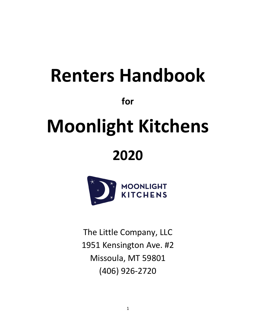# **Renters Handbook for Moonlight Kitchens 2020**



The Little Company, LLC 1951 Kensington Ave. #2 Missoula, MT 59801 (406) 926-2720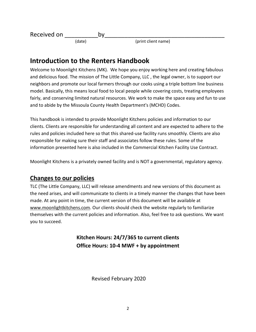Received on by (date) (date) (print client name)

# **Introduction to the Renters Handbook**

Welcome to Moonlight Kitchens (MK). We hope you enjoy working here and creating fabulous and delicious food. The mission of The Little Company, LLC , the legal owner, is to support our neighbors and promote our local farmers through our cooks using a triple bottom line business model. Basically, this means local food to local people while covering costs, treating employees fairly, and conserving limited natural resources. We work to make the space easy and fun to use and to abide by the Missoula County Health Department's (MCHD) Codes.

This handbook is intended to provide Moonlight Kitchens policies and information to our clients. Clients are responsible for understanding all content and are expected to adhere to the rules and policies included here so that this shared-use facility runs smoothly. Clients are also responsible for making sure their staff and associates follow these rules. Some of the information presented here is also included in the Commercial Kitchen Facility Use Contract.

Moonlight Kitchens is a privately owned facility and is NOT a governmental, regulatory agency.

# **Changes to our policies**

TLC (The Little Company, LLC) will release amendments and new versions of this document as the need arises, and will communicate to clients in a timely manner the changes that have been made. At any point in time, the current version of this document will be available at www.moonlightkitchens.com. Our clients should check the website regularly to familiarize themselves with the current policies and information. Also, feel free to ask questions. We want you to succeed.

> **Kitchen Hours: 24/7/365 to current clients Office Hours: 10-4 MWF + by appointment**

> > Revised February 2020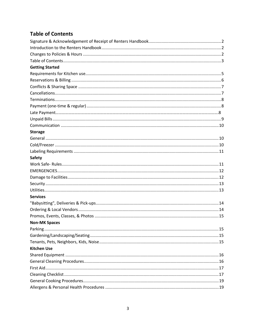# **Table of Contents**

| <b>Getting Started</b> |  |
|------------------------|--|
|                        |  |
|                        |  |
|                        |  |
|                        |  |
|                        |  |
|                        |  |
|                        |  |
|                        |  |
|                        |  |
| <b>Storage</b>         |  |
|                        |  |
|                        |  |
|                        |  |
| <b>Safety</b>          |  |
|                        |  |
|                        |  |
|                        |  |
|                        |  |
|                        |  |
| <b>Services</b>        |  |
|                        |  |
|                        |  |
|                        |  |
| <b>Non-MK Spaces</b>   |  |
|                        |  |
|                        |  |
|                        |  |
| <b>Kitchen Use</b>     |  |
|                        |  |
|                        |  |
|                        |  |
|                        |  |
|                        |  |
|                        |  |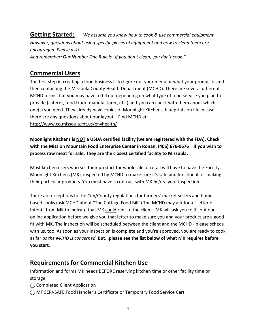**Getting Started:** *We assume you know how to cook & use commercial equipment. However, questions about using specific pieces of equipment and how to clean them are encouraged. Please ask! And remember: Our Number One Rule is "If you don't clean, you don't cook."*

# **Commercial Users**

The first step in creating a food business is to figure out your menu or what your product is and then contacting the Missoula County Health Department (MCHD). There are several different MCHD forms that you may have to fill out depending on what type of food service you plan to provide (caterer, food truck, manufacturer, etc.) and you can check with them about which one(s) you need. They already have copies of Moonlight Kitchens' blueprints on file in case there are any questions about our layout. Find MCHD at: http://www.co.missoula.mt.us/envhealth/

**Moonlight Kitchens is NOT a USDA certified facility (we are registered with the FDA). Check with the Mission Mountain Food Enterprise Center in Ronan, (406) 676-0676 if you wish to process raw meat for sale. They are the closest certified facility to Missoula.**

Most kitchen users who sell their product for wholesale or retail will have to have the Facility, Moonlight Kitchens (MK), inspected by MCHD to make sure it's safe and functional for making their particular products. You must have a contract with MK *before* your inspection.

There are exceptions to the City/County regulations for farmers' market sellers and homebased cooks (ask MCHD about "The Cottage Food Bill") The MCHD may ask for a "Letter of Intent" from MK to indicate that MK could rent to the client. MK will ask you to fill out our online application before we give you that letter to make sure you and your product are a good fit with MK. The inspection will be scheduled between the client and the MCHD - please schedul with us, too. As soon as your inspection is complete and you're approved, you are ready to cook as far *as the MCHD is concerned*. **But**...**please see the list below of what MK requires before you start**.

# **Requirements for Commercial Kitchen Use**

Information and forms MK needs BEFORE reserving kitchen time or other facility time or storage:

- ◯ Completed Client Application
- ⃝ **MT** SERVSAFE Food Handler's Certificate or Temporary Food Service Cert.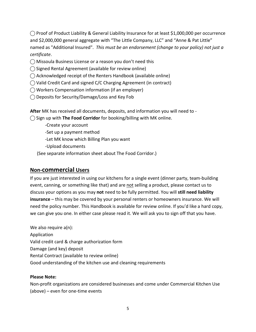$\bigcirc$  Proof of Product Liability & General Liability Insurance for at least \$1,000,000 per occurrence and \$2,000,000 general aggregate with "The Little Company, LLC" and "Anne & Pat Little" named as "Additional Insured". *This must be an endorsement (change to your policy) not just a certificate*.

- $\bigcirc$  Missoula Business License or a reason you don't need this
- $\bigcirc$  Signed Rental Agreement (available for review online)
- $\bigcirc$  Acknowledged receipt of the Renters Handbook (available online)
- ◯ Valid Credit Card and signed C/C Charging Agreement (in contract)
- ⃝ Workers Compensation information (if an employer)
- ⃝ Deposits for Security/Damage/Loss and Key Fob

**After** MK has received all documents, deposits, and information you will need to -

⃝ Sign up with **The Food Corridor** for booking/billing with MK online.

- -Create your account
- -Set up a payment method
- -Let MK know which Billing Plan you want
- -Upload documents
- (See separate information sheet about The Food Corridor.)

#### **Non-commercial Users**

If you are just interested in using our kitchens for a single event (dinner party, team-building event, canning, or something like that) and are not selling a product, please contact us to discuss your options as you may **not** need to be fully permitted. You will **still need liability insurance** – this may be covered by your personal renters or homeowners insurance. We will need the policy number. This Handbook is available for review online. If you'd like a hard copy, we can give you one. In either case please read it. We will ask you to sign off that you have.

We also require a(n): Application Valid credit card & charge authorization form Damage (and key) deposit Rental Contract (available to review online) Good understanding of the kitchen use and cleaning requirements

#### **Please Note:**

Non-profit organizations are considered businesses and come under Commercial Kitchen Use (above) – even for one-time events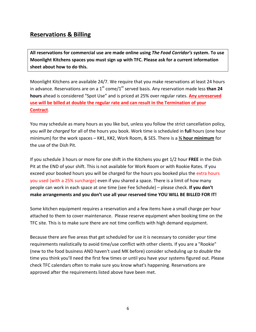## **Reservations & Billing**

**All reservations for commercial use are made online using** *The Food Corridor's* **system. To use Moonlight Kitchens spaces you must sign up with TFC. Please ask for a current information sheet about how to do this.**

Moonlight Kitchens are available 24/7. We require that you make reservations at least 24 hours in advance. Reservations are on a 1<sup>st</sup> come/1<sup>st</sup> served basis. Any reservation made less **than 24 hours** ahead is considered "Spot Use" and is priced at 25% over regular rates. **Any unreserved use will be billed at double the regular rate and can result in the Termination of your Contract**.

You may schedule as many hours as you like but, unless you follow the strict cancellation policy, you *will be charged* for all of the hours you book. Work time is scheduled in **full** hours (one hour minimum) for the work spaces – K#1, K#2, Work Room, & SES. There is a **½ hour minimum** for the use of the Dish Pit.

If you schedule 3 hours or more for one shift in the Kitchens you get 1/2 hour **FREE** in the Dish Pit at the END of your shift. This is not available for Work Room or with Rookie Rates. If you exceed your booked hours you will be charged for the hours you booked plus the extra hours you used (with a 25% surcharge) even if you shared a space. There is a limit of how many people can work in each space at one time (see Fee Schedule) – please check. **If you don't make arrangements and you don't use all your reserved time YOU WILL BE BILLED FOR IT!**

Some kitchen equipment requires a reservation and a few items have a small charge per hour attached to them to cover maintenance. Please reserve equipment when booking time on the TFC site. This is to make sure there are not time conflicts with high demand equipment.

Because there are five areas that get scheduled for use it is necessary to consider your time requirements realistically to avoid time/use conflict with other clients. If you are a "Rookie" (new to the food business AND haven't used MK before) consider scheduling *up to double* the time you think you'll need the first few times or until you have your systems figured out. Please check TFC calendars often to make sure you know what's happening. Reservations are approved after the requirements listed above have been met.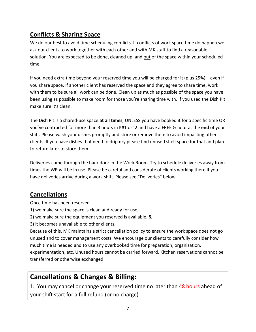# **Conflicts & Sharing Space**

We do our best to avoid time scheduling conflicts. If conflicts of work space time do happen we ask our clients to work together with each other and with MK staff to find a reasonable solution. You are expected to be done, cleaned up, and out of the space within your scheduled time.

If you need extra time beyond your reserved time you will be charged for it (plus 25%) – even if you share space. If another client has reserved the space and they agree to share time, work with them to be sure all work can be done. Clean up as much as possible of the space you have been using as possible to make room for those you're sharing time with. If you used the Dish Pit make sure it's clean.

The Dish Pit is a shared-use space **at all times**, UNLESS you have booked it for a specific time OR you've contracted for more than 3 hours in K#1 or#2 and have a FREE ½ hour at the **end** of your shift. Please wash your dishes promptly and store or remove them to avoid impacting other clients. If you have dishes that need to drip dry please find unused shelf space for that and plan to return later to store them.

Deliveries come through the back door in the Work Room. Try to schedule deliveries away from times the WR will be in use. Please be careful and considerate of clients working there if you have deliveries arrive during a work shift. Please see "Deliveries" below.

# **Cancellations**

Once time has been reserved

- 1) we make sure the space is clean and ready for use,
- 2) we make sure the equipment you reserved is available, &
- 3) it becomes unavailable to other clients.

Because of this, MK maintains a strict cancellation policy to ensure the work space does not go unused and to cover management costs. We encourage our clients to carefully consider how much time is needed and to use any overbooked time for preparation, organization, experimentation, etc. Unused hours cannot be carried forward. Kitchen reservations cannot be transferred or otherwise exchanged.

# **Cancellations & Changes & Billing:**

1. You may cancel or change your reserved time no later than 48 hours ahead of your shift start for a full refund (or no charge).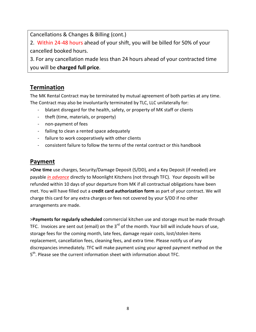Cancellations & Changes & Billing (cont.)

2. Within 24-48 hours ahead of your shift, you will be billed for 50% of your cancelled booked hours.

3. For any cancellation made less than 24 hours ahead of your contracted time you will be **charged full price**.

# **Termination**

The MK Rental Contract may be terminated by mutual agreement of both parties at any time. The Contract may also be involuntarily terminated by TLC, LLC unilaterally for:

- blatant disregard for the health, safety, or property of MK staff or clients
- theft (time, materials, or property)
- non-payment of fees
- failing to clean a rented space adequately
- failure to work cooperatively with other clients
- consistent failure to follow the terms of the rental contract or this handbook

#### **Payment**

**>One time** use charges, Security/Damage Deposit (S/DD), and a Key Deposit (if needed) are payable *in advance* directly to Moonlight Kitchens (not through TFC). Your deposits will be refunded within 10 days of your departure from MK if all contractual obligations have been met. You will have filled out a **credit card authorization form** as part of your contract. We will charge this card for any extra charges or fees not covered by your S/DD if no other arrangements are made.

>**Payments for regularly scheduled** commercial kitchen use and storage must be made through TFC. Invoices are sent out (email) on the 3<sup>rd</sup> of the month. Your bill will include hours of use, storage fees for the coming month, late fees, damage repair costs, lost/stolen items replacement, cancellation fees, cleaning fees, and extra time. Please notify us of any discrepancies immediately. TFC will make payment using your agreed payment method on the 5<sup>th</sup>. Please see the current information sheet with information about TFC.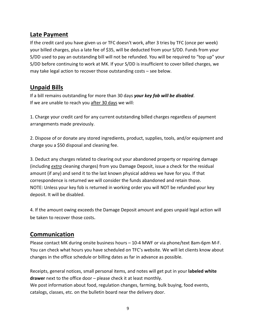## **Late Payment**

If the credit card you have given us or TFC doesn't work, after 3 tries by TFC (once per week) your billed charges, plus a late fee of \$35, will be deducted from your S/DD. Funds from your S/DD used to pay an outstanding bill will not be refunded. You will be required to "top up" your S/DD before continuing to work at MK. If your S/DD is insufficient to cover billed charges, we may take legal action to recover those outstanding costs – see below.

## **Unpaid Bills**

If a bill remains outstanding for more than 30 days *your key fob will be disabled*. If we are unable to reach you after 30 days we will:

1. Charge your credit card for any current outstanding billed charges regardless of payment arrangements made previously.

2. Dispose of or donate any stored ingredients, product, supplies, tools, and/or equipment and charge you a \$50 disposal and cleaning fee.

3. Deduct any charges related to clearing out your abandoned property or repairing damage (including *extra* cleaning charges) from you Damage Deposit, issue a check for the residual amount (if any) and send it to the last known physical address we have for you. If that correspondence is returned we will consider the funds abandoned and retain those. NOTE: Unless your key fob is returned in working order you will NOT be refunded your key deposit. It will be disabled.

4. If the amount owing exceeds the Damage Deposit amount and goes unpaid legal action will be taken to recover those costs.

#### **Communication**

Please contact MK during onsite business hours – 10-4 MWF or via phone/text 8am-6pm M-F. You can check what hours you have scheduled on TFC's website. We will let clients know about changes in the office schedule or billing dates as far in advance as possible.

Receipts, general notices, small personal items, and notes will get put in your **labeled white drawer** next to the office door – please check it at least monthly. We post information about food, regulation changes, farming, bulk buying, food events, catalogs, classes, etc. on the bulletin board near the delivery door.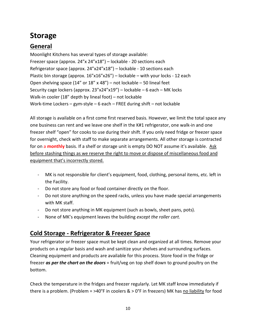# **Storage**

# **General**

Moonlight Kitchens has several types of storage available: Freezer space (approx. 24"x 24"x18") – lockable - 20 sections each Refrigerator space (approx. 24"x24"x18") – lockable - 10 sections each Plastic bin storage (approx. 16"x16"x26") – lockable – with your locks - 12 each Open shelving space (14" or 18" x 48") – not lockable – 50 lineal feet Security cage lockers (approx. 23"x24"x19") – lockable – 6 each – MK locks Walk-in cooler (18" depth by lineal foot) – not lockable Work-time Lockers – gym-style – 6 each – FREE during shift – not lockable

All storage is available on a first come first reserved basis. However, we limit the total space any one business can rent and we leave one shelf in the K#1 refrigerator, one walk-in and one freezer shelf "open" for cooks to use during their shift. If you only need fridge or freezer space for overnight, check with staff to make separate arrangements. All other storage is contracted for on a **monthly** basis. If a shelf or storage unit is empty DO NOT assume it's available. Ask before stashing things as we reserve the right to move or dispose of miscellaneous food and equipment that's incorrectly stored.

- MK is not responsible for client's equipment, food, clothing, personal items, etc. left in the Facility.
- Do not store any food or food container directly on the floor.
- Do not store anything on the speed racks, unless you have made special arrangements with MK staff.
- Do not store anything in MK equipment (such as bowls, sheet pans, pots).
- None of MK's equipment leaves the building *except the roller cart.*

# **Cold Storage - Refrigerator & Freezer Space**

Your refrigerator or freezer space must be kept clean and organized at all times. Remove your products on a regular basis and wash and sanitize your shelves and surrounding surfaces. Cleaning equipment and products are available for this process. Store food in the fridge or freezer *as per the chart on the doors* = fruit/veg on top shelf down to ground poultry on the bottom.

Check the temperature in the fridges and freezer regularly. Let MK staff know immediately if there is a problem. (Problem =  $>40^{\circ}$ F in coolers  $\> 0^{\circ}$ F in freezers) MK has no liability for food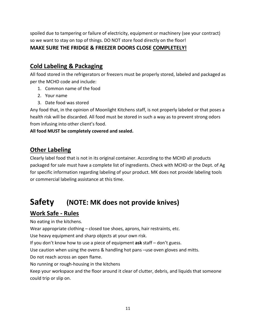spoiled due to tampering or failure of electricity, equipment or machinery (see your contract) so we want to stay on top of things. DO NOT store food directly on the floor! **MAKE SURE THE FRIDGE & FREEZER DOORS CLOSE COMPLETELY!**

# **Cold Labeling & Packaging**

All food stored in the refrigerators or freezers must be properly stored, labeled and packaged as per the MCHD code and include:

- 1. Common name of the food
- 2. Your name
- 3. Date food was stored

Any food that, in the opinion of Moonlight Kitchens staff, is not properly labeled or that poses a health risk will be discarded. All food must be stored in such a way as to prevent strong odors from infusing into other client's food.

**All food MUST be completely covered and sealed.**

## **Other Labeling**

Clearly label food that is not in its original container. According to the MCHD all products packaged for sale must have a complete list of ingredients. Check with MCHD or the Dept. of Ag for specific information regarding labeling of your product. MK does not provide labeling tools or commercial labeling assistance at this time.

# **Safety (NOTE: MK does not provide knives)**

# **Work Safe - Rules**

No eating in the kitchens.

Wear appropriate clothing – closed toe shoes, aprons, hair restraints, etc.

Use heavy equipment and sharp objects at your own risk.

If you don't know how to use a piece of equipment **ask** staff – don't guess.

Use caution when using the ovens & handling hot pans –use oven gloves and mitts.

Do not reach across an open flame.

No running or rough-housing in the kitchens

Keep your workspace and the floor around it clear of clutter, debris, and liquids that someone could trip or slip on.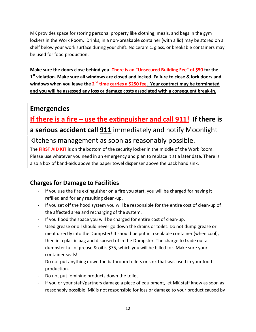MK provides space for storing personal property like clothing, meals, and bags in the gym lockers in the Work Room. Drinks, in a non-breakable container (with a lid) may be stored on a shelf below your work surface during your shift. No ceramic, glass, or breakable containers may be used for food production.

**Make sure the doors close behind you. There is an "Unsecured Building Fee" of \$50 for the 1st violation. Make sure all windows are closed and locked. Failure to close & lock doors and**  windows when you leave the 2<sup>nd</sup> time carries a \$250 fee. Your contract may be terminated **and you will be assessed any loss or damage costs associated with a consequent break-in.**

# **Emergencies**

**If there is a fire – use the extinguisher and call 911! If there is a serious accident call 911** immediately and notify Moonlight Kitchens management as soon as reasonably possible.

The **FIRST AID KIT** is on the bottom of the security locker in the middle of the Work Room. Please use whatever you need in an emergency and plan to replace it at a later date. There is also a box of band-aids above the paper towel dispenser above the back hand sink.

# **Charges for Damage to Facilities**

- If you use the fire extinguisher on a fire you start, you will be charged for having it refilled and for any resulting clean-up.
- If you set off the hood system you will be responsible for the entire cost of clean-up of the affected area and recharging of the system.
- If you flood the space you will be charged for entire cost of clean-up.
- Used grease or oil should never go down the drains or toilet. Do not dump grease or meat directly into the Dumpster! It should be put in a sealable container (when cool), then in a plastic bag and disposed of in the Dumpster. The charge to trade out a dumpster full of grease & oil is \$75, which you will be billed for. Make sure your container seals!
- Do not put anything down the bathroom toilets or sink that was used in your food production.
- Do not put feminine products down the toilet.
- If you or your staff/partners damage a piece of equipment, let MK staff know as soon as reasonably possible. MK is not responsible for loss or damage to your product caused by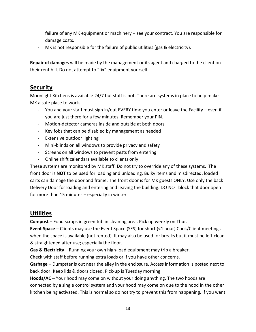failure of any MK equipment or machinery – see your contract. You are responsible for damage costs.

- MK is not responsible for the failure of public utilities (gas & electricity).

**Repair of damages** will be made by the management or its agent and charged to the client on their rent bill. Do not attempt to "fix" equipment yourself.

#### **Security**

Moonlight Kitchens is available 24/7 but staff is not. There are systems in place to help make MK a safe place to work.

- You and your staff must sign in/out EVERY time you enter or leave the Facility even if you are just there for a few minutes. Remember your PIN.
- Motion-detector cameras inside and outside at both doors
- Key fobs that can be disabled by management as needed
- Extensive outdoor lighting
- Mini-blinds on all windows to provide privacy and safety
- Screens on all windows to prevent pests from entering
- Online shift calendars available to clients only

These systems are monitored by MK staff. Do not try to override any of these systems. The front door is **NOT** to be used for loading and unloading. Bulky items and misdirected, loaded carts can damage the door and frame. The front door is for MK guests ONLY. Use only the back Delivery Door for loading and entering and leaving the building. DO NOT block that door open for more than 15 minutes – especially in winter.

#### **Utilities**

**Compost** – Food scraps in green tub in cleaning area. Pick up weekly on Thur.

**Event Space** – Clients may use the Event Space (SES) for short (<1 hour) Cook/Client meetings when the space is available (not rented). It may also be used for breaks but it must be left clean & straightened after use; especially the floor.

**Gas & Electricity** – Running your own high-load equipment may trip a breaker.

Check with staff before running extra loads or if you have other concerns.

**Garbage** – Dumpster is out near the alley in the enclosure. Access information is posted next to back door. Keep lids & doors closed. Pick-up is Tuesday morning.

**Hoods/AC** – Your hood may come on without your doing anything. The two hoods are connected by a single control system and your hood may come on due to the hood in the other kitchen being activated. This is normal so do not try to prevent this from happening. If you want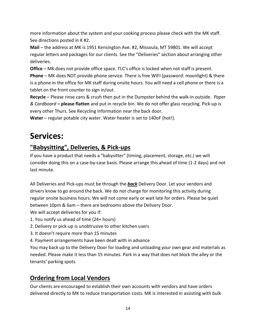more information about the system and your cooking process please check with the MK staff. See directions posted in K #2.

**Mail** – the address at MK is 1951 Kensington Ave. #2, Missoula, MT 59801. We will accept regular letters and packages for our clients. See the "Deliveries" section about arranging other deliveries.

**Office** – MK does not provide office space. TLC's office is locked when not staff is present. **Phone** – MK does NOT provide phone service. There is free WIFI (password: moonlight) & there is a phone in the office for MK staff during onsite hours. You will need a cell phone or there is a tablet on the front counter to sign in/out.

**Recycle** – Please rinse cans & crush then put in the Dumpster behind the walk-in outside. *Paper & Cardboard* **– please flatten** and put in recycle bin. We do not offer glass recycling. Pick-up is every other Thurs. See Recycling Information near the back door.

**Water** – regular potable city water. Water heater is set to 140oF (hot!).

# **Services:**

# **"Babysitting", Deliveries, & Pick-ups**

If you have a product that needs a "babysitter" (timing, placement, storage, etc.) we will consider doing this on a case-by-case basis. Please arrange this ahead of time (1-2 days) and not last minute.

All Deliveries and Pick-ups must be through the *back* Delivery Door. Let your vendors and drivers know to go around the back. We do not charge for monitoring this activity during regular onsite business hours. We will not come early or wait late for orders. Please be quiet between 10pm & 6am – there are bedrooms above the Delivery Door. We will accept deliveries for you if:

- 1. You notify us ahead of time (24+ hours)
- 2. Delivery or pick-up is unobtrusive to other kitchen users
- 3. It doesn't require more than 15 minutes
- 4. Payment arrangements have been dealt with in advance

You may back up to the Delivery Door for loading and unloading your own gear and materials as needed. Please make it less than 15 minutes. Park in a way that does not block the alley or the tenants' parking spots.

# **Ordering from Local Vendors**

Our clients are encouraged to establish their own accounts with vendors and have orders delivered directly to MK to reduce transportation costs. MK is interested in assisting with bulk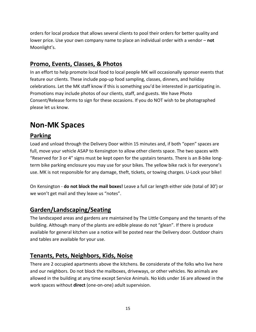orders for local produce that allows several clients to pool their orders for better quality and lower price. Use your own company name to place an individual order with a vendor – **not** Moonlight's.

# **Promo, Events, Classes, & Photos**

In an effort to help promote local food to local people MK will occasionally sponsor events that feature our clients. These include pop-up food sampling, classes, dinners, and holiday celebrations. Let the MK staff know if this is something you'd be interested in participating in. Promotions may include photos of our clients, staff, and guests. We have Photo Consent/Release forms to sign for these occasions. If you do NOT wish to be photographed please let us know.

# **Non-MK Spaces**

# **Parking**

Load and unload through the Delivery Door within 15 minutes and, if both "open" spaces are full, move your vehicle ASAP to Kensington to allow other clients space. The two spaces with "Reserved for 3 or 4" signs must be kept open for the upstairs tenants. There is an 8-bike longterm bike parking enclosure you may use for your bikes. The yellow bike rack is for everyone's use. MK is not responsible for any damage, theft, tickets, or towing charges. U-Lock your bike!

On Kensington - **do not block the mail boxes!** Leave a full car length either side (total of 30') or we won't get mail and they leave us "notes".

# **Garden/Landscaping/Seating**

The landscaped areas and gardens are maintained by The Little Company and the tenants of the building. Although many of the plants are edible please do not "glean". If there is produce available for general kitchen use a notice will be posted near the Delivery door. Outdoor chairs and tables are available for your use.

#### **Tenants, Pets, Neighbors, Kids, Noise**

There are 2 occupied apartments above the kitchens. Be considerate of the folks who live here and our neighbors. Do not block the mailboxes, driveways, or other vehicles. No animals are allowed in the building at any time except Service Animals. No kids under 16 are allowed in the work spaces without **direct** (one-on-one) adult supervision.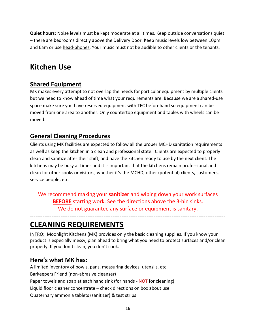**Quiet hours:** Noise levels must be kept moderate at all times. Keep outside conversations quiet – there are bedrooms directly above the Delivery Door. Keep music levels low between 10pm and 6am or use head-phones. Your music must not be audible to other clients or the tenants.

# **Kitchen Use**

# **Shared Equipment**

MK makes every attempt to not overlap the needs for particular equipment by multiple clients but we need to know ahead of time what your requirements are. Because we are a shared-use space make sure you have reserved equipment with TFC beforehand so equipment can be moved from one area to another. Only countertop equipment and tables with wheels can be moved.

#### **General Cleaning Procedures**

Clients using MK facilities are expected to follow all the proper MCHD sanitation requirements as well as keep the kitchen in a clean and professional state. Clients are expected to properly clean and sanitize after their shift, and have the kitchen ready to use by the next client. The kitchens may be busy at times and it is important that the kitchens remain professional and clean for other cooks or visitors, whether it's the MCHD, other (potential) clients, customers, service people, etc.

We recommend making your **sanitizer** and wiping down your work surfaces **BEFORE** starting work. See the directions above the 3-bin sinks. We do not guarantee any surface or equipment is sanitary.

-------------------------------------------------------------------------------------------------------------

# **CLEANING REQUIREMENTS**

INTRO: Moonlight Kitchens (MK) provides only the basic cleaning supplies. If you know your product is especially messy, plan ahead to bring what you need to protect surfaces and/or clean properly. If you don't clean, you don't cook.

#### **Here's what MK has:**

A limited inventory of bowls, pans, measuring devices, utensils, etc. Barkeepers Friend (non-abrasive cleanser) Paper towels and soap at each hand sink (for hands - NOT for cleaning) Liquid floor cleaner concentrate – check directions on box about use Quaternary ammonia tablets (sanitizer) & test strips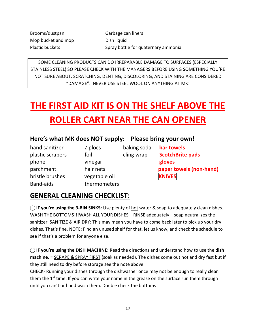Brooms/dustpan Garbage can liners Mop bucket and mop Dish liquid

Plastic buckets Spray bottle for quaternary ammonia

SOME CLEANING PRODUCTS CAN DO IRREPARABLE DAMAGE TO SURFACES (ESPECIALLY STAINLESS STEEL) SO PLEASE CHECK WITH THE MANAGERS BEFORE USING SOMETHING YOU'RE NOT SURE ABOUT. SCRATCHING, DENTING, DISCOLORING, AND STAINING ARE CONSIDERED "DAMAGE". NEVER USE STEEL WOOL ON ANYTHING AT MK!

# **THE FIRST AID KIT IS ON THE SHELF ABOVE THE ROLLER CART NEAR THE CAN OPENER**

# **Here's what MK does NOT supply: Please bring your own!**

hand sanitizer Ziplocs baking soda **bar towels** phone vinegar **gloves** bristle brushes vegetable oil **KNIVES** Band-aids thermometers

plastic scrapers foil cling wrap **ScotchBrite pads** parchment hair nets **paper towels (non-hand)**

# **GENERAL CLEANING CHECKLIST:**

 $\bigcap$  **IF you're using the 3-BIN SINKS:** Use plenty of hot water & soap to adequately clean dishes. WASH THE BOTTOMS!!!WASH ALL YOUR DISHES – RINSE adequately – soap neutralizes the sanitizer. SANITIZE & AIR DRY: This may mean you have to come back later to pick up your dry dishes. That's fine. NOTE: Find an unused shelf for that, let us know, and check the schedule to see if that's a problem for anyone else.

**⃝ IF you're using the DISH MACHINE:** Read the directions and understand how to use the **dish machine**. = SCRAPE & SPRAY FIRST (soak as needed). The dishes come out hot and dry fast but if they still need to dry before storage see the note above.

CHECK- Running your dishes through the dishwasher once may not be enough to really clean them the  $1<sup>st</sup>$  time. If you can write your name in the grease on the surface run them through until you can't or hand wash them. Double check the bottoms!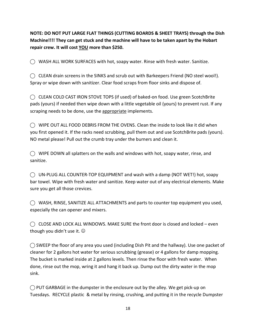**NOTE: DO NOT PUT LARGE FLAT THINGS (CUTTING BOARDS & SHEET TRAYS) through the Dish Machine!!!! They can get stuck and the machine will have to be taken apart by the Hobart repair crew. It will cost YOU more than \$250.** 

**⃝** WASH ALL WORK SURFACES with hot, soapy water. Rinse with fresh water. Sanitize.

**⃝** CLEAN drain screens in the SINKS and scrub out with Barkeepers Friend (NO steel wool!). Spray or wipe down with sanitizer. Clear food scraps from floor sinks and dispose of.

**⃝** CLEAN COLD CAST IRON STOVE TOPS (if used) of baked-on food. Use green ScotchBrite pads (yours) if needed then wipe down with a little vegetable oil (yours) to prevent rust. If any scraping needs to be done, use the appropriate implements.

 $\bigcirc$  WIPE OUT ALL FOOD DEBRIS FROM THE OVENS. Clean the inside to look like it did when you first opened it. If the racks need scrubbing, pull them out and use ScotchBrite pads (yours). NO metal please! Pull out the crumb tray under the burners and clean it.

**⃝** WIPE DOWN all splatters on the walls and windows with hot, soapy water, rinse, and sanitize.

**⃝** UN-PLUG ALL COUNTER-TOP EQUIPMENT and wash with a damp (NOT WET!) hot, soapy bar towel. Wipe with fresh water and sanitize. Keep water out of any electrical elements. Make sure you get all those crevices.

**⃝** WASH, RINSE, SANITIZE ALL ATTACHMENTS and parts to counter top equipment you used, especially the can opener and mixers.

 $\bigcirc$  CLOSE AND LOCK ALL WINDOWS. MAKE SURE the front door is closed and locked – even though you didn't use it.  $\odot$ 

**⃝** SWEEP the floor of any area you used (including Dish Pit and the hallway). Use one packet of cleaner for 2 gallons hot water for serious scrubbing (grease) or 4 gallons for damp mopping. The bucket is marked inside at 2 gallons levels. Then rinse the floor with fresh water. When done, rinse out the mop, wring it and hang it back up. Dump out the dirty water in the mop sink.

**⃝** PUT GARBAGE in the dumpster in the enclosure out by the alley. We get pick-up on Tuesdays. RECYCLE plastic & metal by rinsing, crushing, and putting it in the recycle Dumpster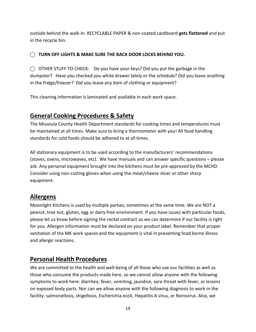outside behind the walk-in. RECYCLABLE PAPER & non-coated cardboard **gets flattened** and put in the recycle bin.

#### ⃝ **TURN OFF LIGHTS & MAKE SURE THE BACK DOOR LOCKS BEHIND YOU.**

**⃝** OTHER STUFF TO CHECK: Do you have your keys? Did you put the garbage in the dumpster? Have you checked you white drawer lately or the schedule? Did you leave anything in the fridge/freezer? Did you leave any item of clothing or equipment?

This cleaning information is laminated and available in each work space.

# **General Cooking Procedures & Safety**

The Missoula County Health Department standards for cooking times and temperatures must be maintained at all times. Make sure to bring a thermometer with you! All food handling standards for cold foods should be adhered to at all times.

All stationary equipment is to be used according to the manufacturers' recommendations (stoves, ovens, microwaves, etc). We have manuals and can answer specific questions – please ask. Any personal equipment brought into the kitchens must be pre-approved by the MCHD. Consider using non-cutting gloves when using the meat/cheese slicer or other sharp equipment.

#### **Allergens**

Moonlight Kitchens is used by multiple parties, sometimes at the same time. We are NOT a peanut, tree nut, gluten, egg or dairy-free environment. If you have issues with particular foods, please let us know before signing the rental contract so we can determine if our facility is right for you. Allergen information must be declared on your product label. Remember that proper sanitation of the MK work spaces and the equipment is vital in preventing food borne illness and allergic reactions.

#### **Personal Health Procedures**

We are committed to the health and well-being of all those who use our facilities as well as those who consume the products made here, so we cannot allow anyone with the following symptoms to work here: diarrhea, fever, vomiting, jaundice, sore throat with fever, or lesions on exposed body parts. Nor can we allow anyone with the following diagnosis to work in the facility: salmonellosis, shigellosis, Escherichia ecoli, Hepatitis A virus, or Norovirus. Also, we